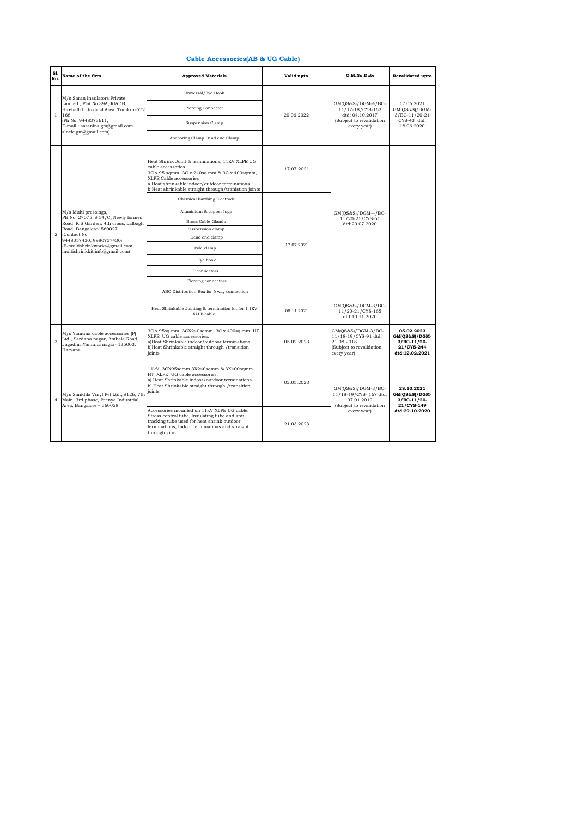| S1.<br>No.     | Name of the firm                                                                                                                                                                              | <b>Approved Materials</b>                                                                                                                                                                                                                             | Valid upto | O.M.No.Date                                                                                            | Revalidated upto                                                             |
|----------------|-----------------------------------------------------------------------------------------------------------------------------------------------------------------------------------------------|-------------------------------------------------------------------------------------------------------------------------------------------------------------------------------------------------------------------------------------------------------|------------|--------------------------------------------------------------------------------------------------------|------------------------------------------------------------------------------|
| $\mathbf{1}$   | M/s Saran Insulators Private<br>Limited., Plot No:39A, KIADB,<br>Hirehalli Industrial Area, Tumkur-572<br>168<br>(Ph No: 9448373611,<br>E-mail: saranins.gm@gmail.com<br>slnele.gm@gmail.com) | Universal/Eye Hook                                                                                                                                                                                                                                    | 20.06.2022 | $GM(QS&S)/DGM-4/BC-$<br>11/17-18/CYS-162<br>dtd: 04.10.2017<br>(Subject to revalidation<br>every year) | 17.06.2021<br>GM(QS&S)/DGM-<br>$3/BC-11/20-21$<br>CYS-43 dtd:<br>18.06.2020  |
|                |                                                                                                                                                                                               | Piercing Connector                                                                                                                                                                                                                                    |            |                                                                                                        |                                                                              |
|                |                                                                                                                                                                                               | Suspension Clamp                                                                                                                                                                                                                                      |            |                                                                                                        |                                                                              |
|                |                                                                                                                                                                                               | Anchoring Clamp Dead end Clamp                                                                                                                                                                                                                        |            |                                                                                                        |                                                                              |
|                |                                                                                                                                                                                               | Heat Shrink Joint & terminations, 11KV XLPE UG<br>cable accessories<br>3C x 95 sqmm, 3C x 240sq mm & 3C x 400sqmm,<br>XLPE Cable accessories<br>a.Heat shrinkable indoor/outdoor terminations<br>b.Heat shrinkable straight through/tranistion joints | 17.07.2021 | $GM(QS&S)/DGM-4/BC-$<br>11/20-21/CYS-61<br>dtd:20.07.2020                                              |                                                                              |
|                |                                                                                                                                                                                               | <b>Chemical Earthing Electrode</b>                                                                                                                                                                                                                    |            |                                                                                                        |                                                                              |
|                | M/s Multi pressings,                                                                                                                                                                          | Aluminium & copper lugs                                                                                                                                                                                                                               |            |                                                                                                        |                                                                              |
|                | PB No: 27075, #54/C, Newly formed<br>Road, K.S Garden, 4th cross, Lalbagh                                                                                                                     | <b>Brass Cable Glands</b>                                                                                                                                                                                                                             |            |                                                                                                        |                                                                              |
|                | Road, Bangalore- 560027                                                                                                                                                                       | Suspension clamp                                                                                                                                                                                                                                      |            |                                                                                                        |                                                                              |
| $\overline{2}$ | (Contact No:<br>9448057430, 9980757430)<br>(E-multishrinkworks@gmail.com,<br>multishrinkkit.info@gmail.com)                                                                                   | Dead end clamp                                                                                                                                                                                                                                        | 17.07.2021 |                                                                                                        |                                                                              |
|                |                                                                                                                                                                                               | Pole clamp                                                                                                                                                                                                                                            |            |                                                                                                        |                                                                              |
|                |                                                                                                                                                                                               | Eye hook                                                                                                                                                                                                                                              |            |                                                                                                        |                                                                              |
|                |                                                                                                                                                                                               | T connectors                                                                                                                                                                                                                                          |            |                                                                                                        |                                                                              |
|                |                                                                                                                                                                                               | Piercing connectors                                                                                                                                                                                                                                   |            |                                                                                                        |                                                                              |
|                |                                                                                                                                                                                               | ABC Distribution Box for 6 way connection                                                                                                                                                                                                             |            |                                                                                                        |                                                                              |
|                |                                                                                                                                                                                               | Heat Shrinkable Jointing & termination kit for 1.1KV<br>XLPE cable.                                                                                                                                                                                   | 08.11.2021 | GM(QS&S)/DGM-3/BC-<br>11/20-21/CYS-165<br>dtd:10.11.2020                                               |                                                                              |
| 3              | M/s Yamuna cable accessories (P)<br>Ltd., Sardana nagar, Ambala Road,<br>Jagadhri, Yamuna nagar- 135003,<br>Haryana                                                                           | 3C x 95sq mm, 3CX240sqmm, 3C x 400sq mm HT<br>XLPE UG cable accessories:<br>a)Heat Shrinkable indoor/outdoor terminations.<br>b)Heat Shrinkable straight through /transition<br>ioints                                                                | 05.02.2023 | GM(QS&S)/DGM-3/BC-<br>11/18-19/CYS-91 dtd:<br>21.08.2018<br>(Subject to revalidation<br>every year)    | 05.02.2023<br>GM(QS&S)/DGM-<br>$3/BC-11/20-$<br>21/CYS-244<br>dtd:12.02.2021 |
| $\overline{4}$ | M/s Sankhla Vinyl Pvt Ltd., #126, 7th<br>Main, 3rd phase, Peenya Industrial<br>Area, Bangalore - 560058                                                                                       | 11kV, 3CX95sqmm, 3X240sqmm & 3X400sqmm<br>HT XLPE UG cable accessories:<br>a) Heat Shrinkable indoor/outdoor terminations.<br>b) Heat Shrinkable straight through /transition<br>joints                                                               | 02.05.2023 | GM(QS&S)/DGM-3/BC-<br>11/18-19/CYS-167 dtd:<br>07.01.2019<br>(Subject to revalidation<br>every year)   | 28.10.2021<br>GM(QS&S)/DGM-<br>$3/BC-11/20-$<br>21/CYS-149<br>dtd:29.10.2020 |
|                |                                                                                                                                                                                               | Accessories mounted on 11kV XLPE UG cable:<br>Stress control tube, Insulating tube and anti-<br>tracking tube used for heat shrink outdoor<br>terminations, Indoor terminations and straight<br>through joint                                         | 21.03.2023 |                                                                                                        |                                                                              |

## **Cable Accessories(AB & UG Cable)**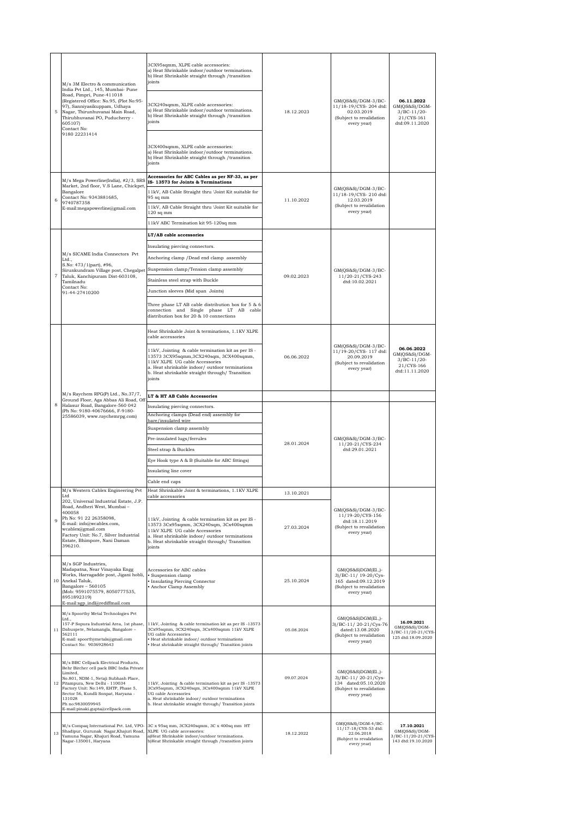| 5              | M/s 3M Electro & communication<br>India Pvt Ltd., 145, Mumbai- Pune<br>Road, Pimpri, Pune-411018<br>(Registered Office: No.95, (Plot No:95-<br>97), Sanniyasikuppam, Udhaya<br>Nagar, Thirunhuvanai Main Road,<br>Thirubhuvanai PO, Puducherry -<br>605107)<br>Contact No:<br>9180 22231414                             | 3CX95sqmm, XLPE cable accessories:<br>a) Heat Shrinkable indoor/outdoor terminations.<br>b) Heat Shrinkable straight through /transition<br>joints<br>3CX240sqmm, XLPE cable accessories:<br>a) Heat Shrinkable indoor/outdoor terminations.<br>b) Heat Shrinkable straight through /transition<br>ioints                                                                 | 18.12.2023               | $GM(QS&S)/DGM-3/BC-$<br>11/18-19/CYS-204 dtd:<br>02.03.2019<br>(Subject to revalidation<br>every year)        | 06.11.2022<br>GM(QS&S)/DGM-<br>$3/BC-11/20-$<br>21/CYS-161<br>dtd:09.11.2020 |
|----------------|-------------------------------------------------------------------------------------------------------------------------------------------------------------------------------------------------------------------------------------------------------------------------------------------------------------------------|---------------------------------------------------------------------------------------------------------------------------------------------------------------------------------------------------------------------------------------------------------------------------------------------------------------------------------------------------------------------------|--------------------------|---------------------------------------------------------------------------------------------------------------|------------------------------------------------------------------------------|
|                |                                                                                                                                                                                                                                                                                                                         | 3CX400sqmm, XLPE cable accessories:<br>a) Heat Shrinkable indoor/outdoor terminations.<br>b) Heat Shrinkable straight through /transition<br>joints                                                                                                                                                                                                                       |                          |                                                                                                               |                                                                              |
| 6              | M/s Mega Powerline(India), #2/3, SRS<br>Market, 2nd floor, V.S Lane, Chickpet<br>Bangalore<br>Contact No: 9343881685,<br>9740787358<br>E-mail:megapowerline@gmail.com                                                                                                                                                   | Accessories for ABC Cables as per NF-33, as per<br>IS-13573 for Joints & Terminations<br>11kV, AB Cable Straight thru 'Joint Kit suitable for<br>95 sq mm<br>11kV, AB Cable Straight thru 'Joint Kit suitable for<br>$120$ sq mm<br>11kV ABC Termination kit 95-120sq mm                                                                                                  | 11.10.2022               | GM(QS&S)/DGM-3/BC-<br>11/18-19/CYS-210 dtd:<br>12.03.2019<br>(Subject to revalidation<br>every year)          |                                                                              |
| $\overline{7}$ | M/s SICAME India Connectors Pvt<br>Ltd.,<br>S.No: 473/1(part), #96,<br>Sirunkundram Village post, Chegalpe<br>Taluk, Kanchipuram Dist-603108,<br>Tamilnadu<br>Contact No:<br>91-44-27410200                                                                                                                             | LT/AB cable accessories<br>Insulating piercing connectors.<br>Anchoring clamp /Dead end clamp assembly<br>Suspension clamp/Tension clamp assembly<br>Stainless steel strap with Buckle<br>Junction sleeves (Mid span Joints)<br>Three phase LT AB cable distribution box for 5 & 6<br>connection and Single phase LT AB cable<br>distribution box for 20 & 10 connections | 09.02.2023               | GM(QS&S)/DGM-3/BC-<br>11/20-21/CYS-243<br>dtd:10.02.2021                                                      |                                                                              |
| 8              | M/s Raychem RPG(P) Ltd., No.37/7,<br>Ground Floor, Aga Abbas Ali Road, Off<br>Halasur Road, Bangalore-560 042<br>(Ph No: 9180-40676666, F-9180-<br>25586039, www.raychemrpg.com)                                                                                                                                        | Heat Shrinkable Joint & terminations, 1.1KV XLPE<br>cable accessories<br>11kV, Jointing & cable termination kit as per IS -<br>13573 3CX95sqmm, 3CX240sqm, 3CX400sqmm,<br>11kV XLPE UG cable Accessories<br>a. Heat shrinkable indoor/outdoor terminations<br>b. Heat shrinkable straight through/ Transition<br>joints                                                   | 06.06.2022               | GM(QS&S)/DGM-3/BC-<br>11/19-20/CYS-117 dtd:<br>20.09.2019<br>(Subject to revalidation<br>every year)          | 06.06.2022<br>GM(QS&S)/DGM-<br>$3/BC-11/20-$<br>21/CYS-166<br>dtd:11.11.2020 |
|                |                                                                                                                                                                                                                                                                                                                         | LT & HT AB Cable Accessories<br>Insulating piercing connectors.<br>Anchoring clamps (Dead end) assembly for<br>bare/insulated wire<br>Suspension clamp assembly<br>Pre-insulated lugs/ferrules<br>Steel strap & Buckles<br>Eye Hook type A & B (Suitable for ABC fittings)<br>Insulating line cover<br>Cable end caps                                                     | 28.01.2024               | $GM(QS&S)/DGM-3/BC-$<br>11/20-21/CYS-234<br>dtd:29.01.2021                                                    |                                                                              |
| $\overline{9}$ | M/s Western Cablex Engineering Pvt<br>Ltd<br>202, Universal Industrial Estate, J.P.<br>Road, Andheri West, Mumbai -<br>400058<br>Ph No: 91 22 26358098,<br>E-mail: info@wcablex.com,<br>wcablex@gmail.com<br>Factory Unit: No.7, Silver Industrial<br>Estate, Bhimpore, Nani Daman<br>396210.                           | Heat Shrinkable Joint & terminations, 1.1KV XLPE<br>cable accessories<br>11kV, Jointing & cable termination kit as per IS -<br>13573 3Cx95sqmm, 3CX240sqm, 3Cx400sqmm<br>11kV XLPE UG cable Accessories<br>a. Heat shrinkable indoor/outdoor terminations<br>b. Heat shrinkable straight through/ Transition<br>joints                                                    | 13.10.2021<br>27.03.2024 | $GM(QS&S)/DGM-3/BC-$<br>11/19-20/CYS-156<br>dtd:18.11.2019<br>(Subject to revalidation<br>every year)         |                                                                              |
| 10             | M/s SGP Industries,<br>Madapatna, Near Vinayaka Engg<br>Works, Harragadde post, Jigani hobli,<br>Anekal Taluk,<br>Bangalore - 560105<br>(Mob: 9591075579, 8050777535,<br>8951892319)<br>E-mail:sgp_indl@rediffmail.com                                                                                                  | Accessories for ABC cables<br>· Suspension clamp<br>· Insulating Piercing Connector<br>• Anchor Clamp Assembly                                                                                                                                                                                                                                                            | 25.10.2024               | GM(QS&S)DGM(El.,)-<br>3)/BC-11/ 19-20/Cys-<br>165 dated:09.12.2019<br>(Subject to revalidation<br>every year) |                                                                              |
| 11             | M/s Spoorthy Metal Technologies Pvt<br>Ltd.,<br>Dabuspete, Nelamangla, Bangalore -<br>562111<br>E-mail: spoorthymetals@gmail.com<br>Contact No: 9036928643                                                                                                                                                              | 157-P Sopura Industrial Area, 1st phase, 11kV, Jointing & cable termination kit as per IS-13573<br>3Cx95sqmm, 3CX240sqm, 3Cx400sqmm 11kV XLPE<br>UG cable Accessories<br>· Heat shrinkable indoor/outdoor terminations<br>· Heat shrinkable straight through/ Transition joints                                                                                           | 05.08.2024               | GM(QS&S)DGM(El.,)-<br>3)/BC-11/20-21/Cys-76<br>dated:13.08.2020<br>(Subject to revalidation<br>every year)    | 16.09.2021<br>$GM(QS&S)/DGM-$<br>3/BC-11/20-21/CYS-<br>125 dtd:18.09.2020    |
| 12             | M/s BBC Cellpack Electrical Products,<br>Behr Bircher cell pack BBC India Private<br>Limited,<br>No.801, NDM-1, Netaji Subhash Place,<br>Pitampura, New Delhi - 110034<br>Factory Unit: No:149, EHTP, Phase 5,<br>Sector 56, Kundli Sonpat, Haryana -<br>131028<br>Ph no:9830059945<br>E-mail:pinaki.gupta@cellpack.com | 11kV, Jointing & cable termination kit as per IS-13573<br>3Cx95sqmm, 3CX240sqm, 3Cx400sqmm 11kV XLPE<br>UG cable Accessories<br>a. Heat shrinkable indoor/outdoor terminations<br>b. Heat shrinkable straight through/ Transition joints                                                                                                                                  | 09.07.2024               | GM(QS&S)DGM(El.,)-<br>3)/BC-11/20-21/Cys-<br>134 dated:05.10.2020<br>(Subject to revalidation<br>every year)  |                                                                              |
| 13             | M/s Compaq International Pvt. Ltd, VPO-<br>Shadipur, Gurunak Nagar, Khajuri Road,<br>Yamuna Nagar, Khajuri Road, Yamuna<br>Nagar-135001, Haryana                                                                                                                                                                        | 3C x 95sq mm, 3CX240sqmm, 3C x 400sq mm HT<br>XLPE UG cable accessories:<br>a)Heat Shrinkable indoor/outdoor terminations.<br>b)Heat Shrinkable straight through /transition joints                                                                                                                                                                                       | 18.12.2022               | GM(QS&S)/DGM-4/BC-<br>11/17-18/CYS-53 dtd:<br>22.06.2018<br>(Subject to revalidation<br>every year)           | 17.10.2021<br>$GM(QS&S)/DGM-$<br>3/BC-11/20-21/CYS-<br>143 dtd:19.10.2020    |